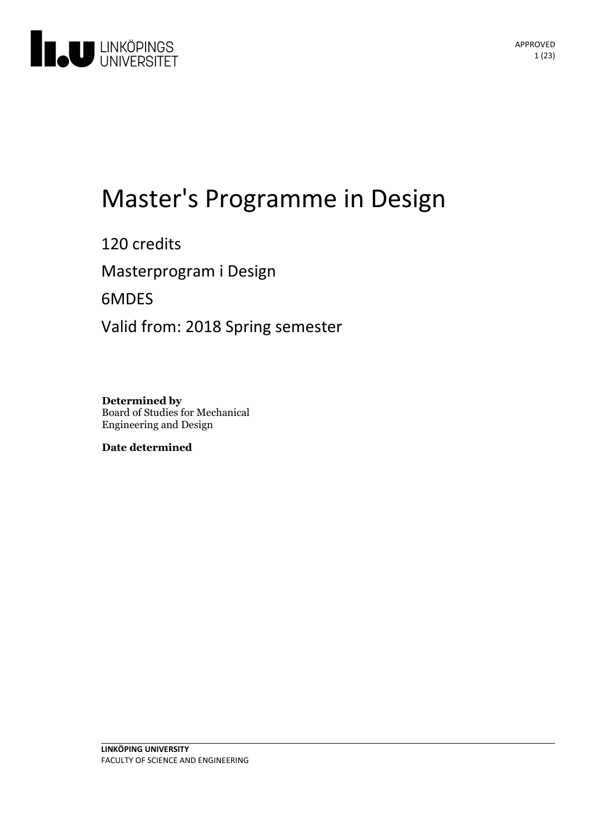

# Master's Programme in Design

120 credits Masterprogram i Design 6MDES Valid from: 2018 Spring semester

**Determined by** Board of Studies for Mechanical Engineering and Design

**Date determined**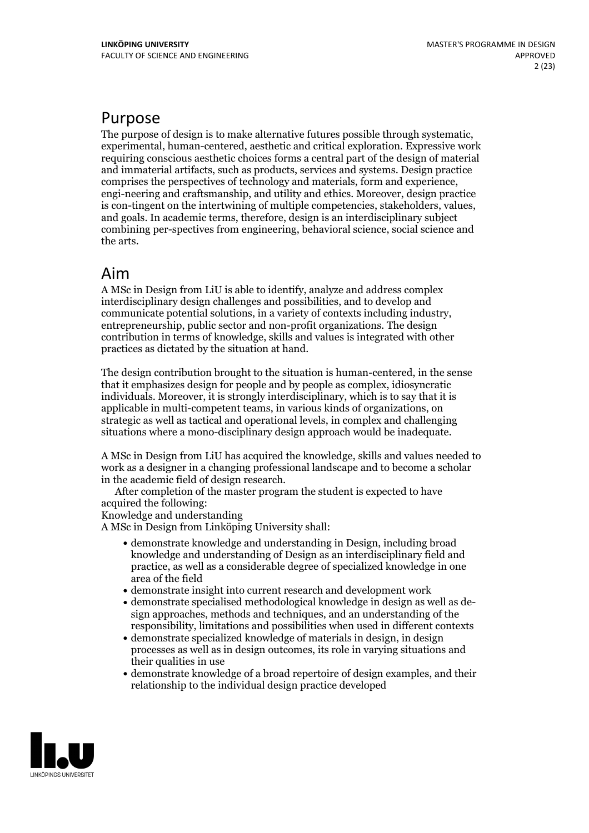## Purpose

The purpose of design is to make alternative futures possible through systematic, experimental, human-centered, aesthetic and critical exploration. Expressive work requiring conscious aesthetic choices forms a central part of the design of material and immaterial artifacts, such as products, services and systems. Design practice engi-neering and craftsmanship, and utility and ethics. Moreover, design practice is con-tingent on the intertwining of multiple competencies, stakeholders, values, and goals. In academic terms, therefore, design is an interdisciplinary subject combining per-spectives from engineering, behavioral science, social science and the arts.

## Aim

A MSc in Design from LiU is able to identify, analyze and address complex interdisciplinary design challenges and possibilities, and to develop and communicate potential solutions, in <sup>a</sup> variety of contexts including industry, entrepreneurship, public sector and non-profit organizations. The design contribution in terms of knowledge, skills and values is integrated with other practices as dictated by the situation at hand.

The design contribution brought to the situation is human-centered, in the sense that it emphasizes design for people and by people as complex, idiosyncratic individuals. Moreover, it is strongly interdisciplinary, which is to say that it is applicable in multi-competent teams, in various kinds of organizations, on strategic as well as tactical and operational levels, in complex and challenging situations where a mono-disciplinary design approach would be inadequate.

A MSc in Design from LiU has acquired the knowledge, skills and values needed to work as a designer in a changing professional landscape and to become a scholar in the academic field of design research. After completion of the master program the student is expected to have

acquired the following:

Knowledge and understanding

A MSc in Design from Linköping University shall:

- demonstrate knowledge and understanding in Design, including broad knowledge and understanding of Design as an interdisciplinary field and practice, as well as a considerable degree of specialized knowledge in one area of the field
- demonstrate insight into current research and development work
- demonstrate specialised methodological knowledge in design aswell as de- sign approaches, methods and techniques, and an understanding of the responsibility, limitations and possibilities when used in different contexts
- demonstrate specialized knowledge of materials in design, in design processes as well as in design outcomes, its role in varying situations and their qualities in use
- demonstrate knowledge of a broad repertoire of design examples, and their relationship to the individual design practice developed

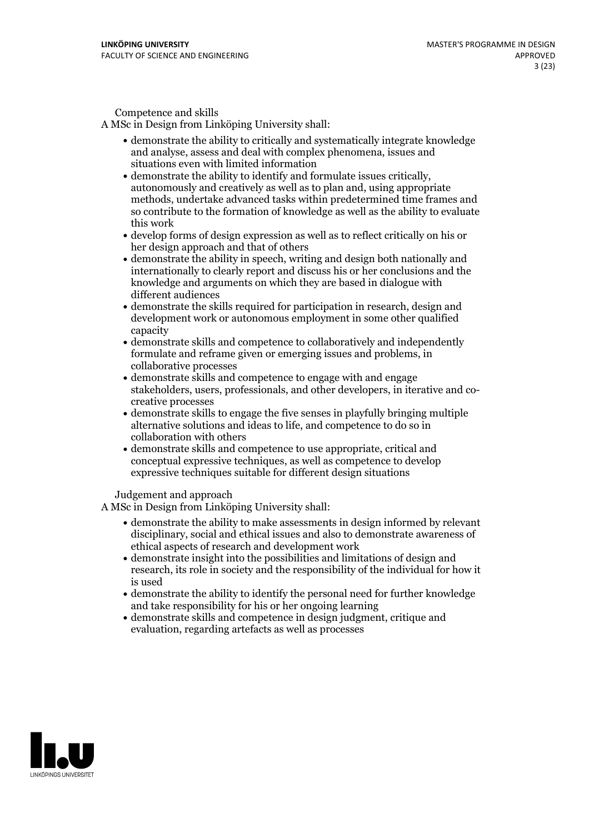Competence and skills

A MSc in Design from Linköping University shall:

- demonstrate the ability to critically and systematically integrate knowledge and analyse, assess and dealwith complex phenomena, issues and situations even with limited information
- demonstrate the ability to identify and formulate issues critically, autonomously and creatively as well as to plan and, using appropriate methods, undertake advanced tasks within predetermined time frames and so contribute to the formation of knowledge as well as the ability to evaluate this work
- develop forms of design expression aswell as to reflect critically on his or her design approach and that of others
- demonstrate the ability in speech, writing and design both nationally and internationally to clearly report and discuss his or her conclusions and the knowledge and arguments on which they are based in dialogue with different audiences
- demonstrate the skills required for participation in research, design and development work or autonomous employment in some other qualified capacity
- demonstrate skills and competence to collaboratively and independently formulate and reframe given or emerging issues and problems, in collaborative processes
- demonstrate skills and competence to engage with and engage stakeholders, users, professionals, and other developers, in iterative and co- creative processes
- demonstrate skills to engage the five senses in playfully bringing multiple alternative solutions and ideas to life, and competence to do so in collaboration with others
- demonstrate skills and competence to use appropriate, critical and conceptual expressive techniques, as well as competence to develop expressive techniques suitable for different design situations

Judgement and approach

A MSc in Design from Linköping University shall:

- demonstrate the ability to make assessments in design informed by relevant disciplinary, social and ethical issues and also to demonstrate awareness of ethical aspects of research and development work
- demonstrate insight into the possibilities and limitations of design and research, its role in society and the responsibility of the individual for how it is used
- demonstrate the ability to identify the personal need for further knowledge and take responsibility for his or her ongoing learning
- demonstrate skills and competence in design judgment, critique and evaluation, regarding artefacts as well as processes

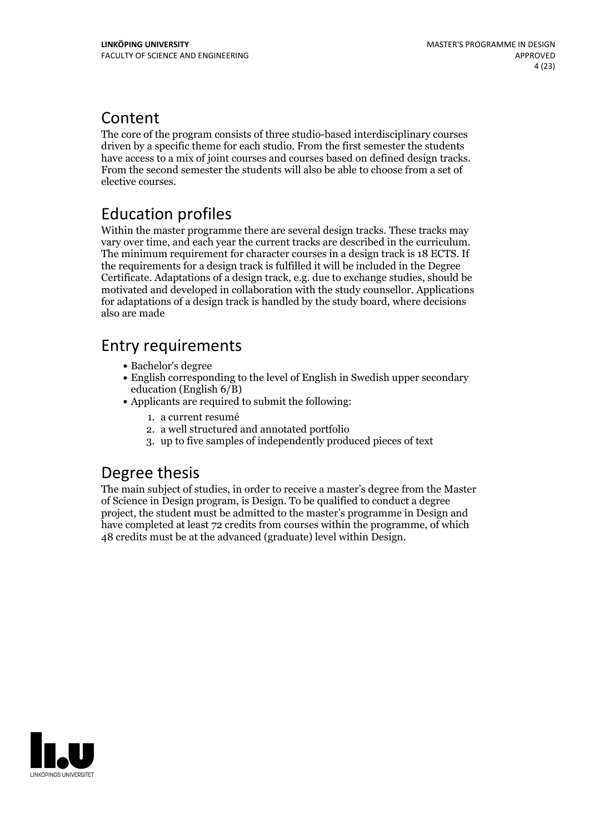## Content

The core of the program consists of three studio-based interdisciplinary courses driven by a specific theme for each studio. From the first semester the students have access to <sup>a</sup> mix of joint courses and courses based on defined design tracks. From the second semester the students will also be able to choose from <sup>a</sup> set of elective courses.

## Education profiles

Within the master programme there are several design tracks. These tracks may vary over time, and each year the current tracks are described in the curriculum. The minimum requirement for character courses in <sup>a</sup> design track is <sup>18</sup> ECTS. If the requirements for a design track is fulfilled it will be included in the Degree Certificate. Adaptations of a design track, e.g. due to exchange studies, should be motivated and developed in collaboration with the study counsellor. Applications for adaptations of a design track is handled by the study board, where decisions also are made

## Entry requirements

- Bachelor's degree
- English corresponding to the level of English in Swedish upper secondary education (English 6/B)
- Applicants are required to submit the following:
	- 1. a current resumé
	- 2. a well structured and annotated portfolio
	- 3. up to five samples of independently produced pieces of text

## Degree thesis

The main subject of studies, in order to receive a master's degree from the Master of Science in Design program, is Design. To be qualified to conduct a degree project, the student must be admitted to the master's programme in Design and have completed at least 72 credits from courses within the programme, of which 48 credits must be at the advanced (graduate) level within Design.

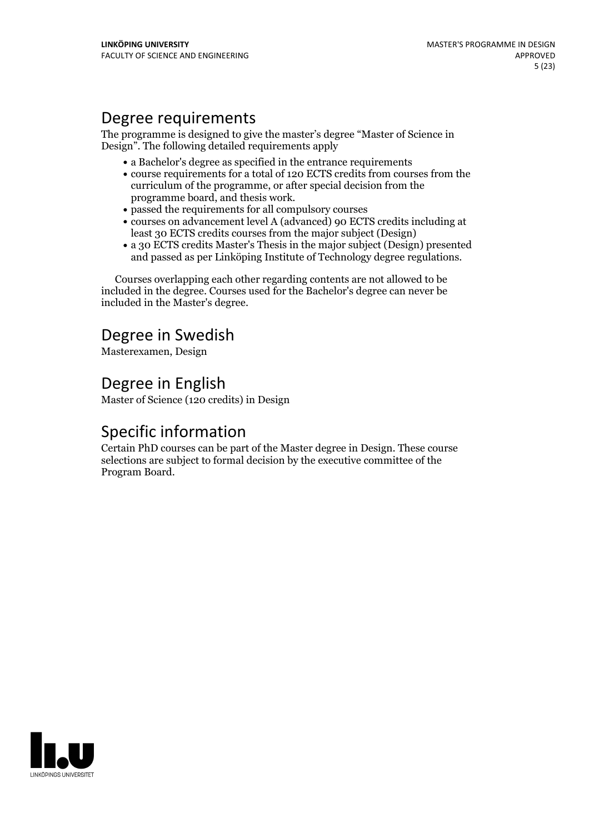## Degree requirements

The programme is designed to give the master's degree "Master of Science in Design". The following detailed requirements apply

- a Bachelor's degree as specified in the entrance requirements
- course requirements for a total of 120 ECTS credits from courses from the curriculum of the programme, or after special decision from the
- programme board, and thesis work.<br>• passed the requirements for all compulsory courses
- courses on advancement level A (advanced) 90 ECTS credits including at least 30 ECTS credits courses from the major subject (Design)
- a 30 ECTS credits Master's Thesis in the major subject (Design) presented and passed as per Linköping Institute of Technology degree regulations.

Courses overlapping each other regarding contents are not allowed to be included in the degree. Courses used for the Bachelor's degree can never be included in the Master's degree.

## Degree in Swedish

Masterexamen, Design

## Degree in English

Master of Science (120 credits) in Design

## Specific information

Certain PhD courses can be part of the Master degree in Design. These course selections are subject to formal decision by the executive committee of the Program Board.

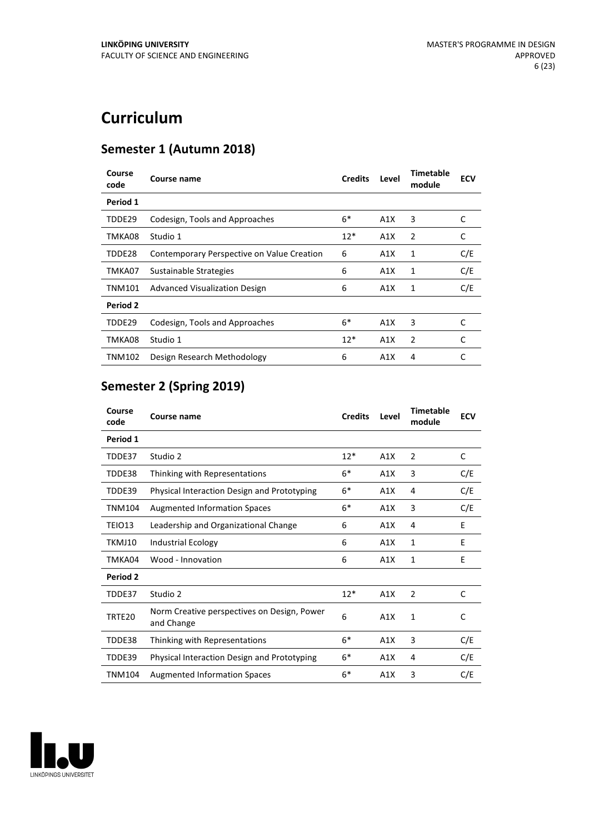## **Curriculum**

## **Semester 1 (Autumn 2018)**

| Course<br>code | Course name                                | <b>Credits</b> | Level | Timetable<br>module | <b>ECV</b> |
|----------------|--------------------------------------------|----------------|-------|---------------------|------------|
| Period 1       |                                            |                |       |                     |            |
| TDDE29         | Codesign, Tools and Approaches             | $6*$           | A1X   | 3                   | C          |
| TMKA08         | Studio 1                                   | $12*$          | A1X   | 2                   | C          |
| TDDE28         | Contemporary Perspective on Value Creation | 6              | A1X   | 1                   | C/E        |
| TMKA07         | Sustainable Strategies                     | 6              | A1X   | 1                   | C/E        |
| <b>TNM101</b>  | <b>Advanced Visualization Design</b>       | 6              | A1X   | 1                   | C/E        |
| Period 2       |                                            |                |       |                     |            |
| TDDE29         | Codesign, Tools and Approaches             | $6*$           | A1X   | 3                   | C          |
| TMKA08         | Studio 1                                   | $12*$          | A1X   | 2                   | C          |
| TNM102         | Design Research Methodology                | 6              | A1X   | 4                   | C          |

## **Semester 2 (Spring 2019)**

| Course<br>code | <b>Course name</b>                                        | <b>Credits</b> | Level | <b>Timetable</b><br>module | <b>ECV</b> |
|----------------|-----------------------------------------------------------|----------------|-------|----------------------------|------------|
| Period 1       |                                                           |                |       |                            |            |
| TDDE37         | Studio 2                                                  | $12*$          | A1X   | $\overline{2}$             | C          |
| TDDE38         | Thinking with Representations                             | $6*$           | A1X   | 3                          | C/E        |
| TDDE39         | Physical Interaction Design and Prototyping               | $6*$           | A1X   | 4                          | C/E        |
| <b>TNM104</b>  | <b>Augmented Information Spaces</b>                       | $6*$           | A1X   | 3                          | C/E        |
| TEIO13         | Leadership and Organizational Change                      | 6              | A1X   | 4                          | E          |
| TKMJ10         | <b>Industrial Ecology</b>                                 | 6              | A1X   | $\mathbf{1}$               | E          |
| TMKA04         | Wood - Innovation                                         | 6              | A1X   | 1                          | E          |
| Period 2       |                                                           |                |       |                            |            |
| TDDE37         | Studio 2                                                  | $12*$          | A1X   | $\overline{2}$             | C          |
| TRTE20         | Norm Creative perspectives on Design, Power<br>and Change | 6              | A1X   | $\mathbf{1}$               | C          |
| TDDE38         | Thinking with Representations                             | $6*$           | A1X   | 3                          | C/E        |
| TDDE39         | Physical Interaction Design and Prototyping               | $6*$           | A1X   | 4                          | C/E        |
| <b>TNM104</b>  | <b>Augmented Information Spaces</b>                       | $6*$           | A1X   | 3                          | C/E        |

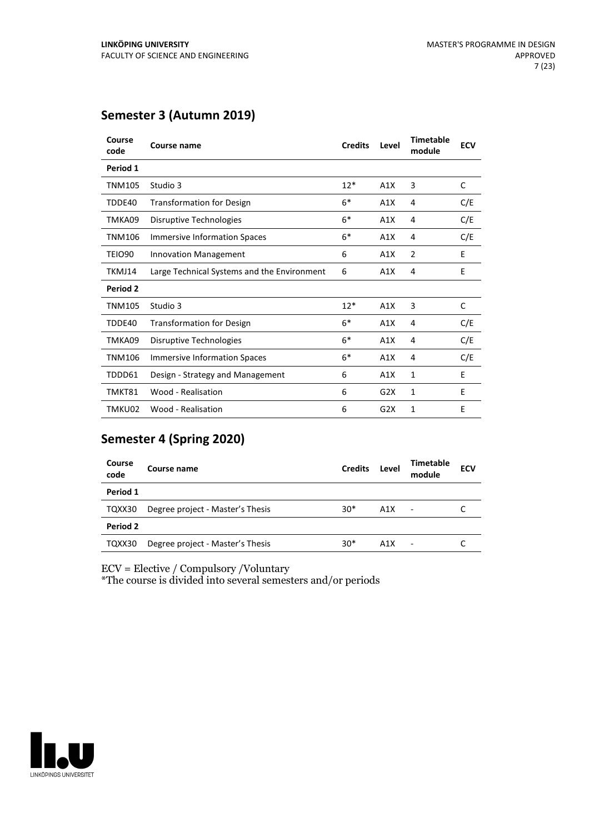## **Semester 3 (Autumn 2019)**

| Course<br>code | Course name                                 | <b>Credits</b> | Level | <b>Timetable</b><br>module | <b>ECV</b> |
|----------------|---------------------------------------------|----------------|-------|----------------------------|------------|
| Period 1       |                                             |                |       |                            |            |
| TNM105         | Studio 3                                    | $12*$          | A1X   | 3                          | C          |
| TDDE40         | <b>Transformation for Design</b>            | $6*$           | A1X   | 4                          | C/E        |
| TMKA09         | Disruptive Technologies                     | $6*$           | A1X   | 4                          | C/E        |
| <b>TNM106</b>  | <b>Immersive Information Spaces</b>         | $6*$           | A1X   | 4                          | C/E        |
| <b>TEIO90</b>  | <b>Innovation Management</b>                | 6              | A1X   | $\overline{2}$             | E          |
| TKMJ14         | Large Technical Systems and the Environment | 6              | A1X   | 4                          | E          |
| Period 2       |                                             |                |       |                            |            |
| TNM105         | Studio 3                                    | $12*$          | A1X   | 3                          | C          |
| TDDE40         | <b>Transformation for Design</b>            | $6*$           | A1X   | 4                          | C/E        |
| TMKA09         | Disruptive Technologies                     | $6*$           | A1X   | 4                          | C/E        |
| <b>TNM106</b>  | <b>Immersive Information Spaces</b>         | $6*$           | A1X   | 4                          | C/E        |
| TDDD61         | Design - Strategy and Management            | 6              | A1X   | 1                          | E          |
| TMKT81         | Wood - Realisation                          | 6              | G2X   | 1                          | E          |
| TMKU02         | Wood - Realisation                          | 6              | G2X   | $\mathbf{1}$               | E          |

## **Semester 4 (Spring 2020)**

| Course<br>code | Course name                      | <b>Credits</b> | Level | <b>Timetable</b><br>module | <b>ECV</b> |
|----------------|----------------------------------|----------------|-------|----------------------------|------------|
| Period 1       |                                  |                |       |                            |            |
| TQXX30         | Degree project - Master's Thesis | $30*$          | A1X   | $\overline{\phantom{a}}$   |            |
| Period 2       |                                  |                |       |                            |            |
| TQXX30         | Degree project - Master's Thesis | $30*$          | A1X   |                            |            |

ECV = Elective / Compulsory /Voluntary

\*The course is divided into several semesters and/or periods

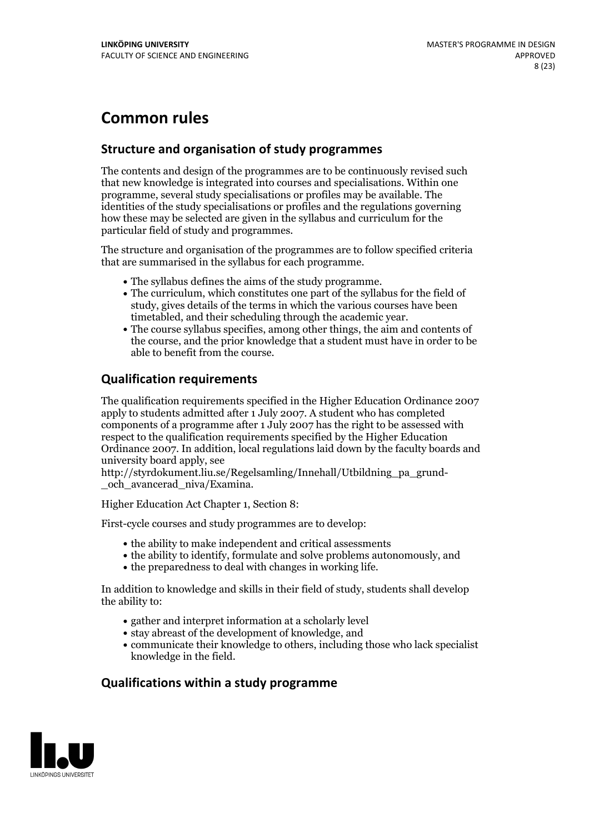## **Common rules**

## **Structure and organisation of study programmes**

The contents and design of the programmes are to be continuously revised such that new knowledge is integrated into courses and specialisations. Within one programme, several study specialisations or profiles may be available. The identities of the study specialisations or profiles and the regulations governing how these may be selected are given in the syllabus and curriculum for the particular field of study and programmes.

The structure and organisation of the programmes are to follow specified criteria that are summarised in the syllabus for each programme.

- 
- The syllabus defines the aims of the study programme.<br>• The curriculum, which constitutes one part of the syllabus for the field of study, gives details of the terms in which the various courses have been
- The course syllabus specifies, among other things, the aim and contents of the course, and the prior knowledge that a student must have in order to be able to benefit from the course.

## **Qualification requirements**

The qualification requirements specified in the Higher Education Ordinance 2007 apply to students admitted after 1 July 2007. A student who has completed components of a programme after 1 July 2007 has the right to be assessed with respect to the qualification requirements specified by the Higher Education Ordinance 2007. In addition, local regulations laid down by the faculty boards and university board apply, see

http://styrdokument.liu.se/Regelsamling/Innehall/Utbildning\_pa\_grund- \_och\_avancerad\_niva/Examina.

Higher Education Act Chapter 1, Section 8:

First-cycle courses and study programmes are to develop:

- the ability to make independent and critical assessments
- the ability to identify, formulate and solve problems autonomously, and
- $\bullet$  the preparedness to deal with changes in working life.

In addition to knowledge and skills in their field of study, students shall develop the ability to:

- gather and interpret information at a scholarly level
- stay abreast of the development of knowledge, and
- communicate their knowledge to others, including those who lack specialist knowledge in the field.

## **Qualifications within a study programme**

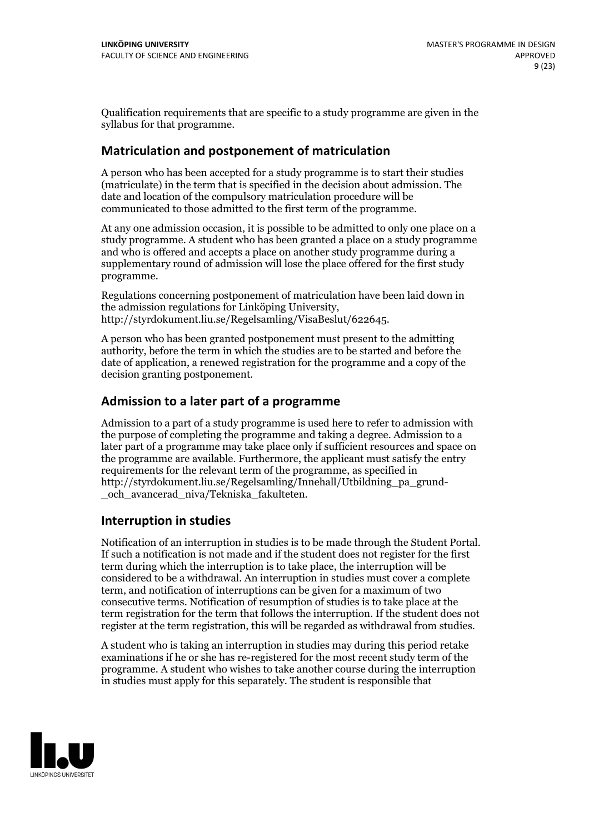Qualification requirements that are specific to a study programme are given in the syllabus for that programme.

## **Matriculation and postponement of matriculation**

A person who has been accepted for a study programme is to start their studies (matriculate) in the term that is specified in the decision about admission. The date and location of the compulsory matriculation procedure will be communicated to those admitted to the first term of the programme.

At any one admission occasion, it is possible to be admitted to only one place on a study programme. A student who has been granted a place on a study programme and who is offered and accepts a place on another study programme during a supplementary round of admission will lose the place offered for the first study programme.

Regulations concerning postponement of matriculation have been laid down in the admission regulations for Linköping University, http://styrdokument.liu.se/Regelsamling/VisaBeslut/622645.

A person who has been granted postponement must present to the admitting authority, before the term in which the studies are to be started and before the date of application, a renewed registration for the programme and a copy of the decision granting postponement.

## **Admission to a later part of a programme**

Admission to a part of a study programme is used here to refer to admission with the purpose of completing the programme and taking a degree. Admission to a later part of a programme may take place only if sufficient resources and space on the programme are available. Furthermore, the applicant must satisfy the entry requirements for the relevant term of the programme, as specified in http://styrdokument.liu.se/Regelsamling/Innehall/Utbildning\_pa\_grund- \_och\_avancerad\_niva/Tekniska\_fakulteten.

## **Interruption in studies**

Notification of an interruption in studies is to be made through the Student Portal. If such <sup>a</sup> notification is not made and if the student does not register for the first term during which the interruption is to take place, the interruption will be considered to be a withdrawal. An interruption in studies must cover a complete term, and notification of interruptions can be given for a maximum of two consecutive terms. Notification of resumption of studies is to take place at the term registration for the term that follows the interruption. If the student does not register at the term registration, this will be regarded as withdrawal from studies.

A student who is taking an interruption in studies may during this period retake examinations if he or she has re-registered for the most recent study term of the programme. A student who wishes to take another course during the interruption in studies must apply for this separately. The student is responsible that

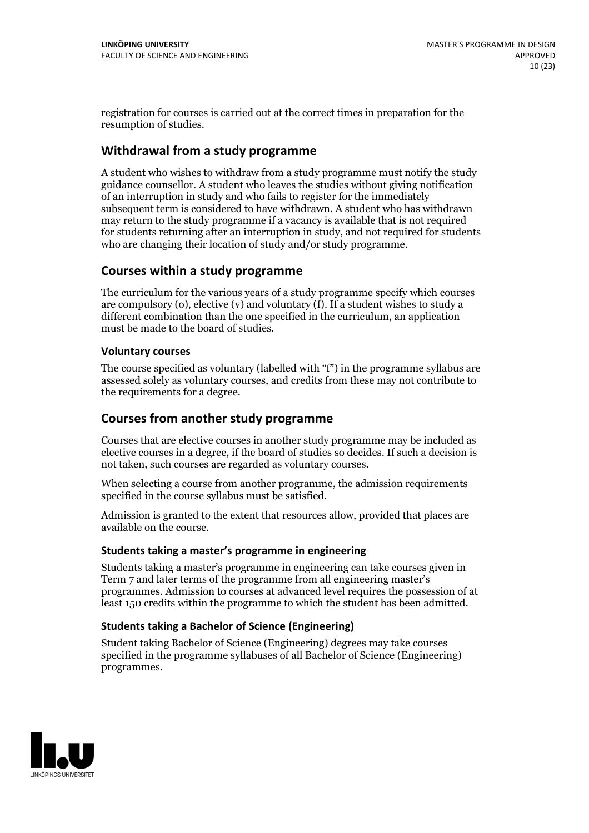registration for courses is carried outat the correct times in preparation for the resumption of studies.

## **Withdrawal from a study programme**

A student who wishes to withdraw from a study programme must notify the study guidance counsellor. A student who leaves the studies without giving notification of an interruption in study and who fails to register for the immediately subsequent term is considered to have withdrawn. A student who has withdrawn may return to the study programme if a vacancy is available that is not required for students returning after an interruption in study, and not required for students who are changing their location of study and/or study programme.

## **Courses within a study programme**

The curriculum for the various years of a study programme specify which courses are compulsory (o), elective (v) and voluntary (f). If a student wishes to study a different combination than the one specified in the curriculum, an application must be made to the board of studies.

### **Voluntarycourses**

The course specified as voluntary (labelled with "f") in the programme syllabus are assessed solely as voluntary courses, and credits from these may not contribute to the requirements for a degree.

## **Courses from another study programme**

Courses that are elective courses in another study programme may be included as elective courses in a degree, if the board of studies so decides. If such a decision is not taken, such courses are regarded as voluntary courses.

When selecting a course from another programme, the admission requirements specified in the course syllabus must be satisfied.

Admission is granted to the extent that resources allow, provided that places are available on the course.

#### **Students taking a master's programme in engineering**

Students taking a master's programme in engineering can take courses given in Term 7 and later terms of the programme from all engineering master's programmes. Admission to courses at advanced level requires the possession of at least 150 credits within the programme to which the student has been admitted.

### **Students taking a Bachelor of Science (Engineering)**

Student taking Bachelor of Science (Engineering) degrees may take courses specified in the programme syllabuses of all Bachelor of Science (Engineering) programmes.

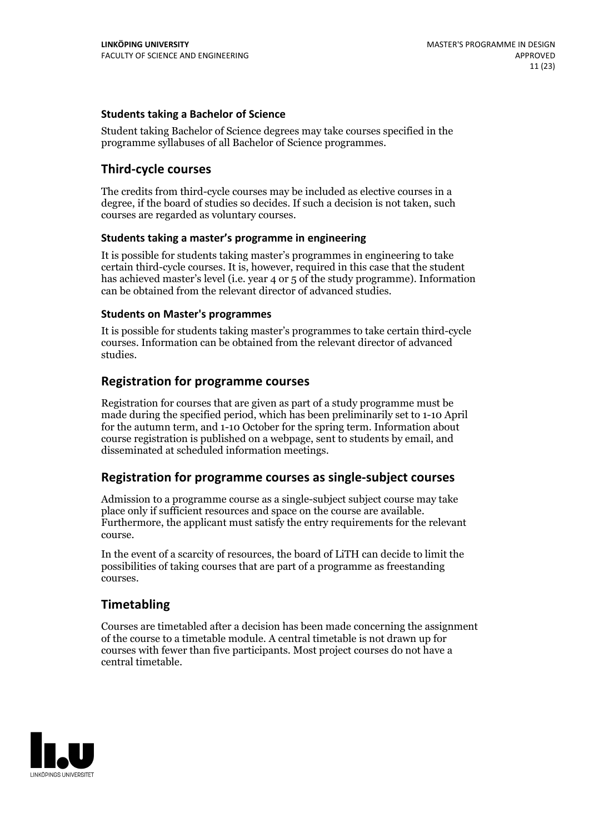### **Students taking a Bachelor of Science**

Student taking Bachelor of Science degrees may take courses specified in the programme syllabuses of all Bachelor of Science programmes.

## **Third-cycle courses**

The credits from third-cycle courses may be included as elective courses in a degree, if the board of studies so decides. If such a decision is not taken, such courses are regarded as voluntary courses.

#### **Students taking a master's programme in engineering**

It is possible for students taking master's programmes in engineering to take certain third-cycle courses. It is, however, required in this case that the student has achieved master's level (i.e. year 4 or 5 of the study programme). Information can be obtained from the relevant director of advanced studies.

#### **Students on Master's programmes**

It is possible for students taking master's programmes to take certain third-cycle courses. Information can be obtained from the relevant director of advanced studies.

### **Registration for programme courses**

Registration for courses that are given as part of a study programme must be made during the specified period, which has been preliminarily set to 1-10 April for the autumn term, and 1-10 October for the spring term. Information about course registration is published on a webpage, sent to students by email, and disseminated at scheduled information meetings.

## **Registration for programme courses as single-subject courses**

Admission to a programme course as a single-subject subject course may take place only if sufficient resources and space on the course are available. Furthermore, the applicant must satisfy the entry requirements for the relevant course.

In the event of a scarcity of resources, the board of LiTH can decide to limit the possibilities of taking courses that are part of a programme as freestanding courses.

## **Timetabling**

Courses are timetabled after a decision has been made concerning the assignment of the course to a timetable module. A central timetable is not drawn up for courses with fewer than five participants. Most project courses do not have a central timetable.

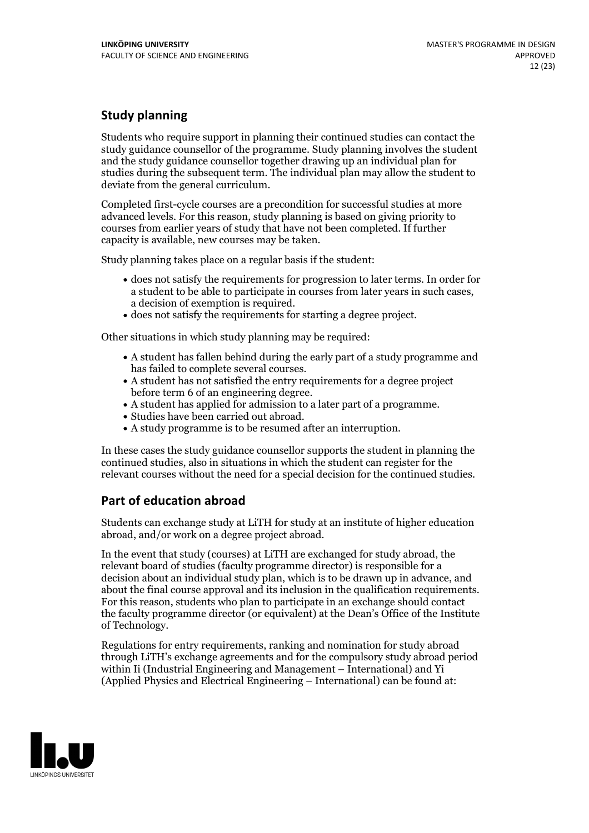## **Study planning**

Students who require support in planning their continued studies can contact the study guidance counsellor of the programme. Study planning involves the student and the study guidance counsellor together drawing up an individual plan for studies during the subsequent term. The individual plan may allow the student to deviate from the general curriculum.

Completed first-cycle courses are a precondition for successful studies at more advanced levels. For this reason, study planning is based on giving priority to courses from earlier years of study that have not been completed. If further capacity is available, new courses may be taken.

Study planning takes place on a regular basis if the student:

- does not satisfy the requirements for progression to later terms. In order for a student to be able to participate in courses from later years in such cases, a decision of exemption is required.<br>
• does not satisfy the requirements for starting a degree project.
- 

Other situations in which study planning may be required:

- A student has fallen behind during the early part of a study programme and has failed to complete several courses.<br>• A student has not satisfied the entry requirements for a degree project
- 
- before term 6 of an engineering degree.<br>• A student has applied for admission to a later part of a programme.<br>• Studies have been carried out abroad.<br>• A study programme is to be resumed after an interruption.
- 
- 

In these cases the study guidance counsellor supports the student in planning the continued studies, also in situations in which the student can register for the relevant courses without the need for a special decision for the continued studies.

## **Part of education abroad**

Students can exchange study at LiTH for study at an institute of higher education abroad, and/or work on a degree project abroad.

In the event that study (courses) at LiTH are exchanged for study abroad, the relevant board of studies (faculty programme director) is responsible for a decision about an individual study plan, which is to be drawn up in advance, and about the final course approval and its inclusion in the qualification requirements. For this reason, students who plan to participate in an exchange should contact the faculty programme director (or equivalent) at the Dean's Office ofthe Institute of Technology.

Regulations for entry requirements, ranking and nomination for study abroad through LiTH's exchange agreements and for the compulsory study abroad period within Ii (Industrial Engineering and Management – International) and Yi (Applied Physics and Electrical Engineering – International) can be found at:

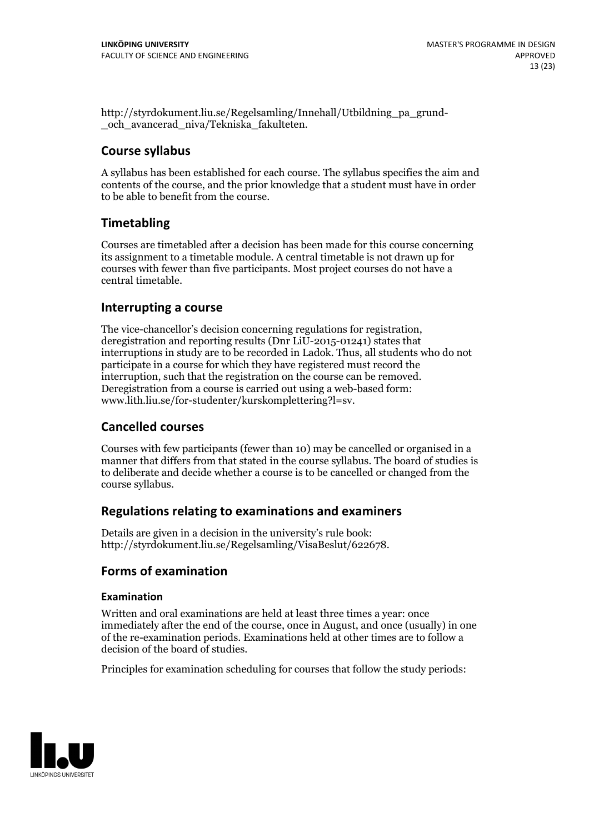http://styrdokument.liu.se/Regelsamling/Innehall/Utbildning\_pa\_grund- \_och\_avancerad\_niva/Tekniska\_fakulteten.

## **Course syllabus**

A syllabus has been established for each course. The syllabus specifies the aim and contents of the course, and the prior knowledge that a student must have in order to be able to benefit from the course.

## **Timetabling**

Courses are timetabled after a decision has been made for this course concerning its assignment to a timetable module. A central timetable is not drawn up for courses with fewer than five participants. Most project courses do not have a central timetable.

## **Interrupting a course**

The vice-chancellor's decision concerning regulations for registration, deregistration and reporting results (Dnr LiU-2015-01241) states that interruptions in study are to be recorded in Ladok. Thus, all students who do not participate in a course for which they have registered must record the interruption, such that the registration on the course can be removed. Deregistration from <sup>a</sup> course is carried outusing <sup>a</sup> web-based form: www.lith.liu.se/for-studenter/kurskomplettering?l=sv.

## **Cancelled courses**

Courses with few participants (fewer than 10) may be cancelled or organised in a manner that differs from that stated in the course syllabus. The board of studies is to deliberate and decide whether a course is to be cancelled orchanged from the course syllabus.

## **Regulations relatingto examinations and examiners**

Details are given in a decision in the university's rule book: http://styrdokument.liu.se/Regelsamling/VisaBeslut/622678.

## **Forms of examination**

### **Examination**

Written and oral examinations are held at least three times a year: once immediately after the end of the course, once in August, and once (usually) in one of the re-examination periods. Examinations held at other times are to follow a decision of the board of studies.

Principles for examination scheduling for courses that follow the study periods:

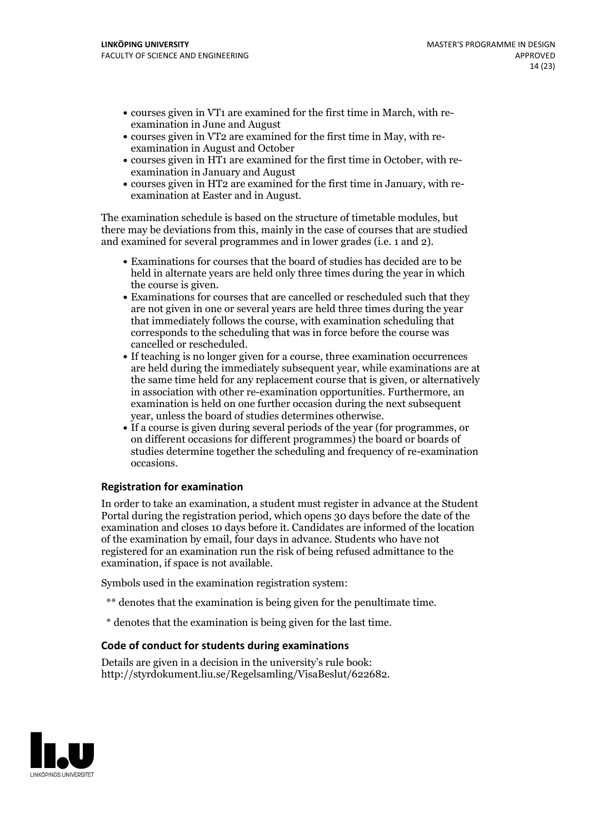- courses given in VT1 are examined for the first time in March, with re-examination in June and August
- courses given in VT2 are examined for the first time in May, with re-examination in August and October
- courses given in HT1 are examined for the first time in October, with re-examination in January and August
- courses given in HT2 are examined for the first time in January, with re-examination at Easter and in August.

The examination schedule is based on the structure of timetable modules, but there may be deviations from this, mainly in the case of courses that are studied and examined for several programmes and in lower grades (i.e. 1 and 2).

- Examinations for courses that the board of studies has decided are to be held in alternate years are held only three times during the year in which the course is given.<br>• Examinations for courses that are cancelled or rescheduled such that they
- are not given in one or several years are held three times during the year that immediately follows the course, with examination scheduling that corresponds to the scheduling that was in force before the course was cancelled or rescheduled.<br>• If teaching is no longer given for a course, three examination occurrences
- are held during the immediately subsequent year, while examinations are at the same time held for any replacement course that is given, or alternatively in association with other re-examination opportunities. Furthermore, an examination is held on one further occasion during the next subsequent
- year, unless the board of studies determines otherwise.<br>If a course is given during several periods of the year (for programmes, or on different occasions for different programmes) the board orboards of studies determine together the scheduling and frequency of re-examination occasions.

#### **Registration for examination**

In order to take an examination, a student must register in advance at the Student Portal during the registration period, which opens 30 days before the date of the examination and closes 10 days before it. Candidates are informed of the location of the examination by email, four days in advance. Students who have not registered for an examination run the risk of being refused admittance to the examination, if space is not available.

Symbols used in the examination registration system:

- \*\* denotes that the examination is being given for the penultimate time.
- \* denotes that the examination is being given for the last time.

#### **Code of conduct for students during examinations**

Details are given in a decision in the university's rule book: http://styrdokument.liu.se/Regelsamling/VisaBeslut/622682.

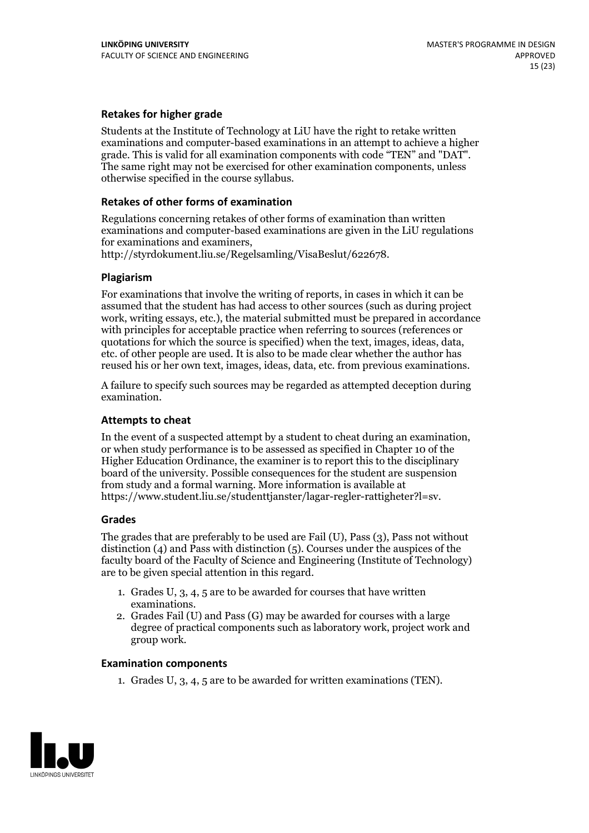### **Retakes for higher grade**

Students at the Institute of Technology at LiU have the right to retake written examinations and computer-based examinations in an attempt to achieve a higher grade. This is valid for all examination components with code "TEN" and "DAT". The same right may not be exercised for other examination components, unless otherwise specified in the course syllabus.

#### **Retakes of other forms of examination**

Regulations concerning retakes of other forms of examination than written examinations and computer-based examinations are given in the LiU regulations

http://styrdokument.liu.se/Regelsamling/VisaBeslut/622678.

#### **Plagiarism**

For examinations that involve the writing of reports, in cases in which it can be assumed that the student has had access to other sources (such as during project work, writing essays, etc.), the material submitted must be prepared in accordance with principles for acceptable practice when referring to sources (references or quotations for which the source is specified) when the text, images, ideas, data, etc. of other people are used. It is also to be made clear whether the author has reused his or her own text, images, ideas, data, etc. from previous examinations.

A failure to specify such sources may be regarded as attempted deception during examination.

#### **Attempts to cheat**

In the event of <sup>a</sup> suspected attempt by <sup>a</sup> student to cheat during an examination, or when study performance is to be assessed as specified in Chapter <sup>10</sup> of the Higher Education Ordinance, the examiner is to report this to the disciplinary board of the university. Possible consequences for the student are suspension from study and a formal warning. More information is available at https://www.student.liu.se/studenttjanster/lagar-regler-rattigheter?l=sv.

#### **Grades**

The grades that are preferably to be used are Fail (U), Pass (3), Pass not without distinction  $(4)$  and Pass with distinction  $(5)$ . Courses under the auspices of the faculty board of the Faculty of Science and Engineering (Institute of Technology) are to be given special attention in this regard.

- 1. Grades U, 3, 4, 5 are to be awarded for courses that have written
- examinations. 2. Grades Fail (U) and Pass (G) may be awarded for courses with <sup>a</sup> large degree of practical components such as laboratory work, project work and group work.

#### **Examination components**

1. Grades U, 3, 4, 5 are to be awarded for written examinations (TEN).

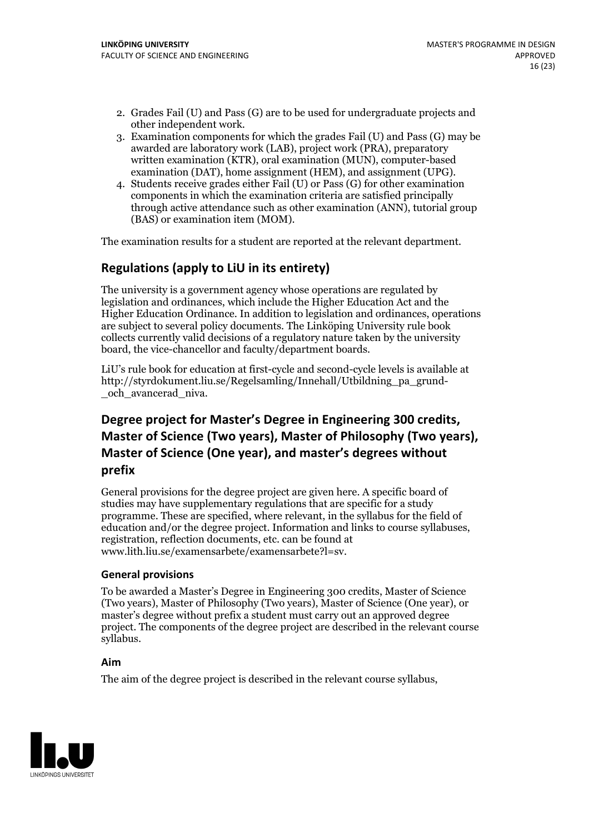- 2. Grades Fail (U) and Pass (G) are to be used for undergraduate projects and other independent work. 3. Examination components for which the grades Fail (U) and Pass (G) may be
- awarded are laboratory work (LAB), project work (PRA), preparatory written examination (KTR), oral examination (MUN), computer-based examination (DAT), home assignment (HEM), and assignment (UPG). 4. Students receive grades either Fail (U) or Pass (G) for other examination
- components in which the examination criteria are satisfied principally through active attendance such as other examination (ANN), tutorial group (BAS) or examination item (MOM).

The examination results for a student are reported at the relevant department.

## **Regulations (applyto LiU in its entirety)**

The university is a government agency whose operations are regulated by legislation and ordinances, which include the Higher Education Act and the Higher Education Ordinance. In addition to legislation and ordinances, operations are subject to several policy documents. The Linköping University rule book collects currently valid decisions of a regulatory nature taken by the university board, the vice-chancellor and faculty/department boards.

LiU's rule book for education at first-cycle and second-cycle levels is available at http://styrdokument.liu.se/Regelsamling/Innehall/Utbildning\_pa\_grund- \_och\_avancerad\_niva.

## **Degree project for Master's Degree in Engineering 300 credits, Master** of Science (Two years), Master of Philosophy (Two years), **Master ofScience (One year), and master's degrees without prefix**

General provisions for the degree project are given here. A specific board of studies may have supplementary regulations that are specific for a study programme. These are specified, where relevant, in the syllabus for the field of education and/or the degree project. Information and links to course syllabuses, registration, reflection documents, etc. can be found at www.lith.liu.se/examensarbete/examensarbete?l=sv.

#### **General provisions**

To be awarded a Master's Degree in Engineering 300 credits, Master of Science (Two years), Master of Philosophy (Two years), Master of Science (One year), or master's degree without prefix a student must carry out an approved degree project. The components of the degree project are described in the relevant course syllabus.

#### **Aim**

The aim of the degree project is described in the relevant course syllabus,

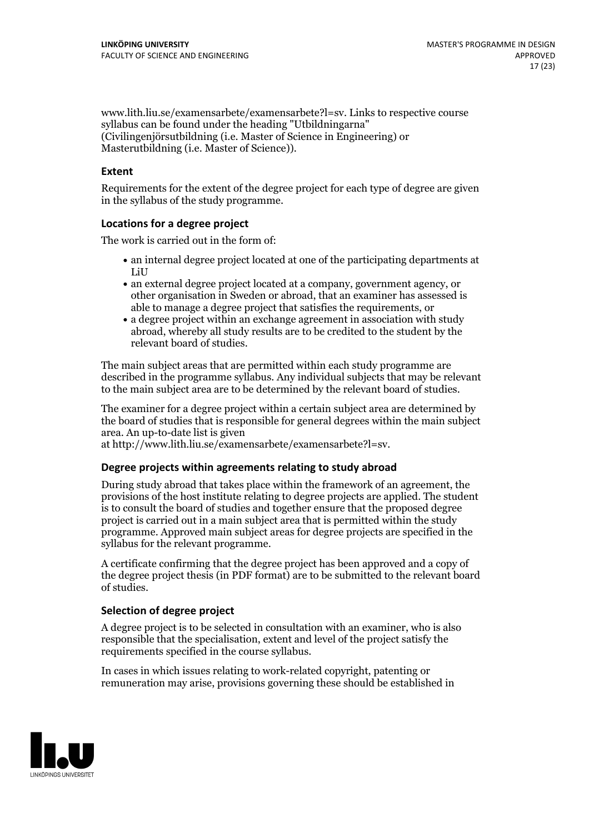www.lith.liu.se/examensarbete/examensarbete?l=sv. Links to respective course syllabus can be found under the heading "Utbildningarna" (Civilingenjörsutbildning (i.e. Master of Science in Engineering) or Masterutbildning (i.e. Master of Science)).

### **Extent**

Requirements for the extent of the degree project for each type of degree are given in the syllabus of the study programme.

#### **Locations for a degree project**

The work is carried out in the form of:

- an internal degree project located at one of the participating departments at LiU
- an external degree project located at a company, government agency, or other organisation in Sweden or abroad, that an examiner has assessed is able to manage a degree project that satisfies the requirements, or
- a degree project within an exchange agreement in association with study abroad, whereby all study results are to be credited to the student by the relevant board of studies.

The main subject areas that are permitted within each study programme are described in the programme syllabus. Any individual subjects that may be relevant to the main subject area are to be determined by the relevant board of studies.

The examiner for a degree project within a certain subject area are determined by the board of studies that is responsible for general degrees within the main subject area. An up-to-date list is given

at http://www.lith.liu.se/examensarbete/examensarbete?l=sv.

#### **Degree projects within agreements relatingto study abroad**

During study abroad that takes place within the framework of an agreement, the provisions of the host institute relating to degree projects are applied. The student is to consult the board of studies and together ensure that the proposed degree project is carried out in a main subject area that is permitted within the study programme. Approved main subject areas for degree projects are specified in the syllabus for the relevant programme.

A certificate confirming that the degree project has been approved and a copy of the degree project thesis (in PDF format) are to be submitted to the relevant board of studies.

#### **Selection of degree project**

A degree project is to be selected in consultation with an examiner, who is also responsible that the specialisation, extent and level of the project satisfy the requirements specified in the course syllabus.

In cases in which issues relating to work-related copyright, patenting or remuneration may arise, provisions governing these should be established in

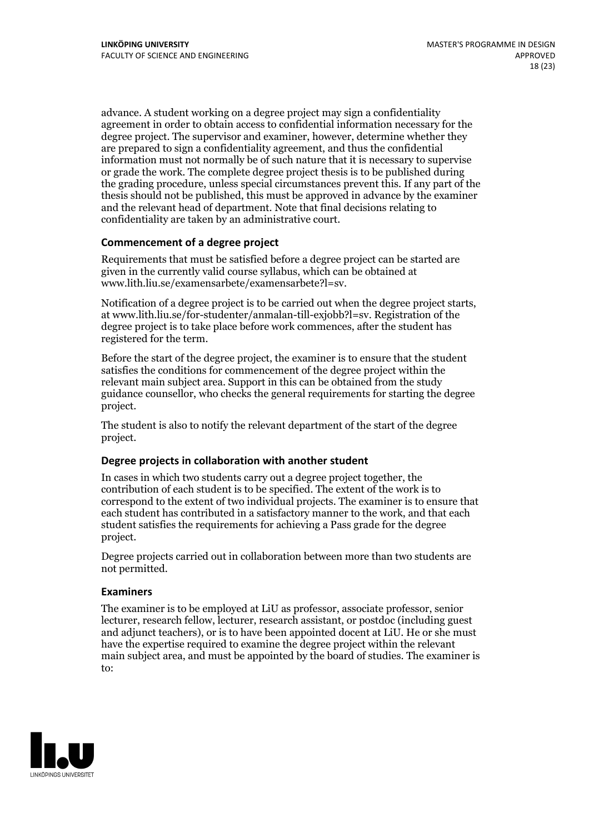advance. A student working on a degree project may sign a confidentiality agreement in order to obtain access to confidential information necessary for the degree project. The supervisor and examiner, however, determine whether they are prepared to sign a confidentiality agreement, and thus the confidential information must not normally be of such nature that it is necessary to supervise or grade the work. The complete degree project thesis is to be published during the grading procedure, unless special circumstances prevent this. If any part of the thesis should not be published, this must be approved in advance by the examiner and the relevant head of department. Note that final decisions relating to confidentiality are taken by an administrative court.

### **Commencement of a degree project**

Requirements that must be satisfied before a degree project can be started are given in the currently valid course syllabus, which can be obtained at www.lith.liu.se/examensarbete/examensarbete?l=sv.

Notification of <sup>a</sup> degree project is to be carried outwhen the degree project starts, at www.lith.liu.se/for-studenter/anmalan-till-exjobb?l=sv. Registration of the degree project is to take place before work commences, after the student has registered for the term.

Before the start of the degree project, the examiner is to ensure that the student satisfies the conditions for commencement of the degree project within the relevant main subject area. Support in this can be obtained from the study guidance counsellor, who checks the general requirements for starting the degree project.

The student is also to notify the relevant department of the start of the degree project.

#### **Degree projects in collaboration with another student**

In cases in which two students carry out a degree project together, the contribution of each student is to be specified. The extent of the work is to correspond to the extent of two individual projects. The examiner is to ensure that each student has contributed in a satisfactory manner to the work, and that each student satisfies the requirements for achieving a Pass grade for the degree project.

Degree projects carried out in collaboration between more than two students are not permitted.

#### **Examiners**

The examiner is to be employed at LiU as professor, associate professor, senior lecturer, research fellow, lecturer, research assistant, or postdoc (including guest and adjunct teachers), or is to have been appointed docent at LiU. He or she must have the expertise required to examine the degree project within the relevant main subject area, and must be appointed by the board of studies. The examiner is to:

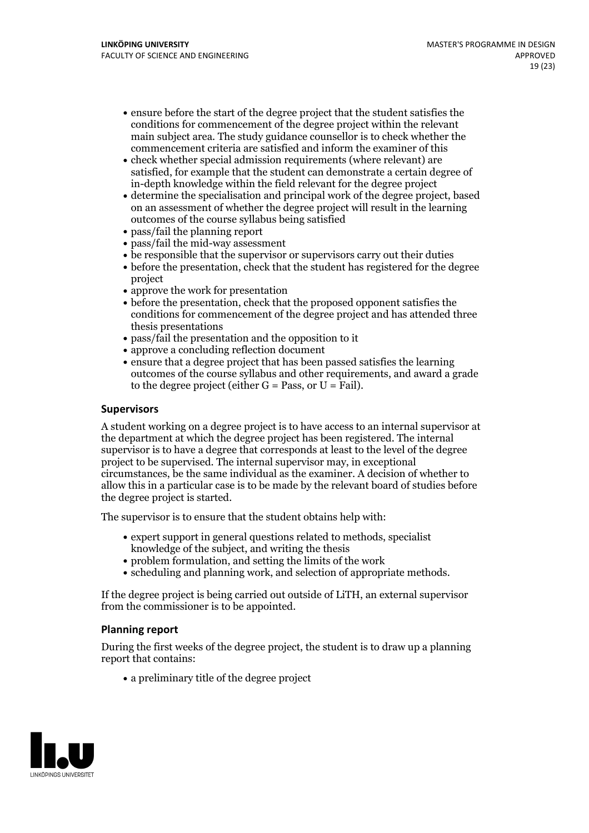- ensure before the start of the degree project that the student satisfies the conditions for commencement of the degree project within the relevant main subject area. The study guidance counsellor is to check whether the commencement criteria are satisfied and inform the examiner of this
- check whether special admission requirements (where relevant) are satisfied, for example that the student can demonstrate a certain degree of in-depth knowledge within the field relevant for the degree project
- determine the specialisation and principal work of the degree project, based on an assessment of whether the degree project will result in the learning outcomes of the course syllabus being satisfied
- pass/fail the planning report
- pass/fail the mid-way assessment
- be responsible that the supervisor or supervisors carry out their duties
- before the presentation, check that the student has registered for the degree project
- approve the work for presentation
- before the presentation, check that the proposed opponent satisfies the conditions for commencement of the degree project and has attended three thesis presentations
- pass/fail the presentation and the opposition to it
- approve a concluding reflection document
- ensure that a degree project that has been passed satisfies the learning outcomes of the course syllabus and other requirements, and award a grade to the degree project (either  $G = Pass$ , or  $U = Fail$ ).

### **Supervisors**

A student working on a degree project is to have access to an internal supervisor at the department at which the degree project has been registered. The internal supervisor is to have a degree that corresponds at least to the level of the degree project to be supervised. The internal supervisor may, in exceptional circumstances, be the same individual as the examiner. A decision of whether to allow this in a particular case is to be made by the relevant board of studies before the degree project is started.

The supervisor is to ensure that the student obtains help with:

- expert support in general questions related to methods, specialist knowledge of the subject, and writing the thesis
- problem formulation, and setting the limits of the work
- scheduling and planning work, and selection of appropriate methods.

If the degree project is being carried out outside of LiTH, an external supervisor from the commissioner is to be appointed.

#### **Planning report**

During the first weeks of the degree project, the student is to draw up a planning report that contains:

 $\bullet$  a preliminary title of the degree project

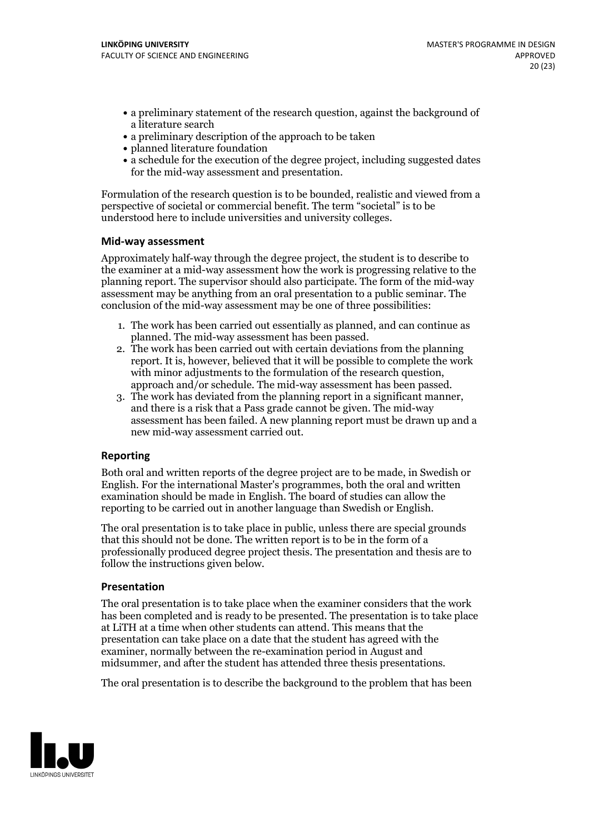- a preliminary statement of the research question, against the background of a literature search
- a preliminary description of the approach to be taken
- planned literature foundation
- a schedule for the execution of the degree project, including suggested dates for the mid-way assessment and presentation.

Formulation of the research question is to be bounded, realistic and viewed from a perspective of societal or commercial benefit. The term "societal" is to be understood here to include universities and university colleges.

#### **Mid-way assessment**

Approximately half-way through the degree project, the student is to describe to the examiner at a mid-way assessment how the work is progressing relative to the planning report. The supervisor should also participate. The form of the mid-way assessment may be anything from an oral presentation to a public seminar. The conclusion of the mid-way assessment may be one of three possibilities:

- 1. The work has been carried out essentially as planned, and can continue as planned. The mid-way assessment has been passed. 2. The work has been carried outwith certain deviations from the planning
- report. It is, however, believed that it will be possible to complete the work
- approach and/or schedule. The mid-way assessment has been passed.<br>3. The work has deviated from the planning report in a significant manner, and there is a risk that a Pass grade cannot be given. The mid-way assessment has been failed. A new planning report must be drawn up and a new mid-way assessment carried out.

### **Reporting**

Both oral and written reports of the degree project are to be made, in Swedish or English. For the international Master's programmes, both the oral and written examination should be made in English. The board of studies can allow the reporting to be carried out in another language than Swedish or English.

The oral presentation is to take place in public, unless there are special grounds that this should not be done. The written report is to be in the form of a professionally produced degree project thesis. The presentation and thesis are to follow the instructions given below.

#### **Presentation**

The oral presentation is to take place when the examiner considers that the work has been completed and is ready to be presented. The presentation is to take place at LiTH at a time when other students can attend. This means that the presentation can take place on a date that the student has agreed with the examiner, normally between the re-examination period in August and midsummer, and after the student has attended three thesis presentations.

The oral presentation is to describe the background to the problem that has been

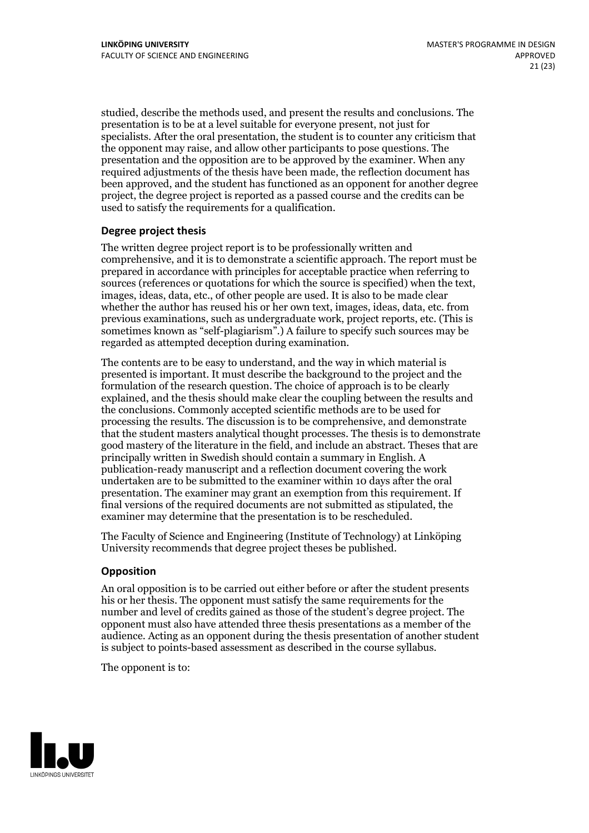studied, describe the methods used, and present the results and conclusions. The presentation is to be at a level suitable for everyone present, not just for specialists. After the oral presentation, the student is to counter any criticism that the opponent may raise, and allow other participants to pose questions. The presentation and the opposition are to be approved by the examiner. When any required adjustments of the thesis have been made, the reflection document has been approved, and the student has functioned as an opponent for another degree project, the degree project is reported as a passed course and the credits can be used to satisfy the requirements for a qualification.

#### **Degree project thesis**

The written degree project report is to be professionally written and comprehensive, and it is to demonstrate a scientific approach. The report must be prepared in accordance with principles for acceptable practice when referring to sources (references or quotations for which the source is specified) when the text, images, ideas, data, etc., of other people are used. It is also to be made clear whether the author has reused his or her own text, images, ideas, data, etc. from previous examinations, such asundergraduate work, project reports, etc. (This is sometimes known as"self-plagiarism".) A failure to specify such sources may be regarded as attempted deception during examination.

The contents are to be easy to understand, and the way in which material is presented is important. It must describe the background to the project and the formulation of the research question. The choice of approach is to be clearly explained, and the thesis should make clear the coupling between the results and the conclusions. Commonly accepted scientific methods are to be used for processing the results. The discussion is to be comprehensive, and demonstrate that the student masters analytical thought processes. The thesis is to demonstrate good mastery of the literature in the field, and include an abstract. Theses that are principally written in Swedish should contain a summary in English. A publication-ready manuscript and a reflection document covering the work undertaken are to be submitted to the examiner within 10 days after the oral presentation. The examiner may grant an exemption from this requirement. If final versions of the required documents are not submitted as stipulated, the examiner may determine that the presentation is to be rescheduled.

The Faculty of Science and Engineering (Institute of Technology) at Linköping University recommends that degree project theses be published.

#### **Opposition**

An oral opposition is to be carried out either before or after the student presents his or her thesis. The opponent must satisfy the same requirements for the number and level of credits gained as those of the student's degree project. The opponent must also have attended three thesis presentations as a member of the audience. Acting as an opponent during the thesis presentation of another student is subject to points-based assessment as described in the course syllabus.

The opponent is to:

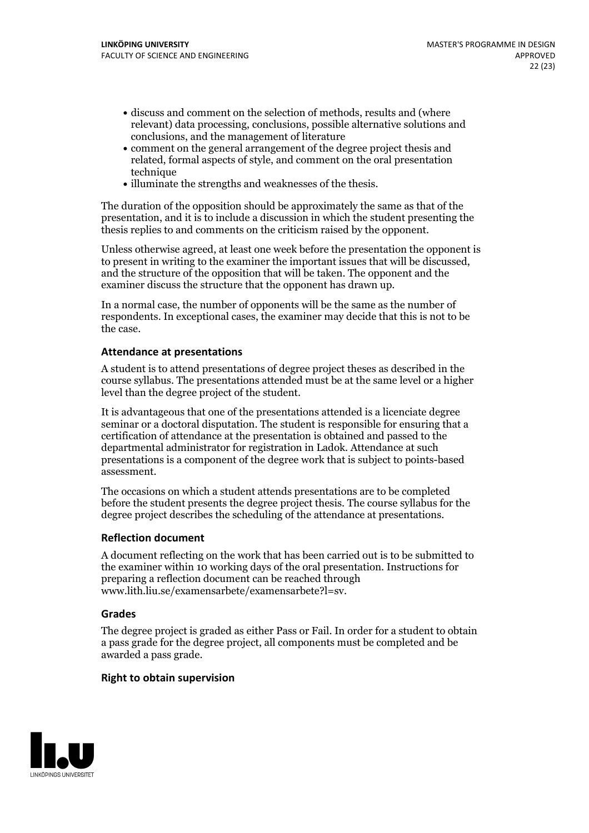- discuss and comment on the selection of methods, results and (where relevant) data processing, conclusions, possible alternative solutions and conclusions, and the management of literature
- comment on the general arrangement of the degree project thesis and related, formal aspects of style, and comment on the oral presentation technique
- illuminate the strengths and weaknesses of the thesis.

The duration of the opposition should be approximately the same as that of the presentation, and it is to include a discussion in which the student presenting the thesis replies to and comments on the criticism raised by the opponent.

Unless otherwise agreed, at least one week before the presentation the opponent is to present in writing to the examiner the important issues that will be discussed, and the structure ofthe opposition that will be taken. The opponent and the examiner discuss the structure that the opponent has drawn up.

In a normal case, the number of opponents will be the same as the number of respondents. In exceptional cases, the examiner may decide that this is not to be the case.

### **Attendance at presentations**

A student is to attend presentations of degree project theses as described in the course syllabus. The presentations attended must be at the same level or a higher level than the degree project of the student.

It is advantageous that one of the presentations attended is a licenciate degree seminar or a doctoral disputation. The student is responsible for ensuring that a certification of attendance at the presentation is obtained and passed to the departmental administrator for registration in Ladok. Attendance at such presentations is a component of the degree work that is subject to points-based assessment.

The occasions on which a student attends presentations are to be completed before the student presents the degree project thesis. The course syllabus for the degree project describes the scheduling of the attendance at presentations.

#### **Reflection document**

A document reflecting on the work that has been carried outis to be submitted to the examiner within 10 working days of the oral presentation. Instructions for preparing a reflection document can be reached through www.lith.liu.se/examensarbete/examensarbete?l=sv.

#### **Grades**

The degree project is graded as either Pass or Fail. In order for a student to obtain a pass grade for the degree project, all components must be completed and be awarded a pass grade.

#### **Right to obtain supervision**